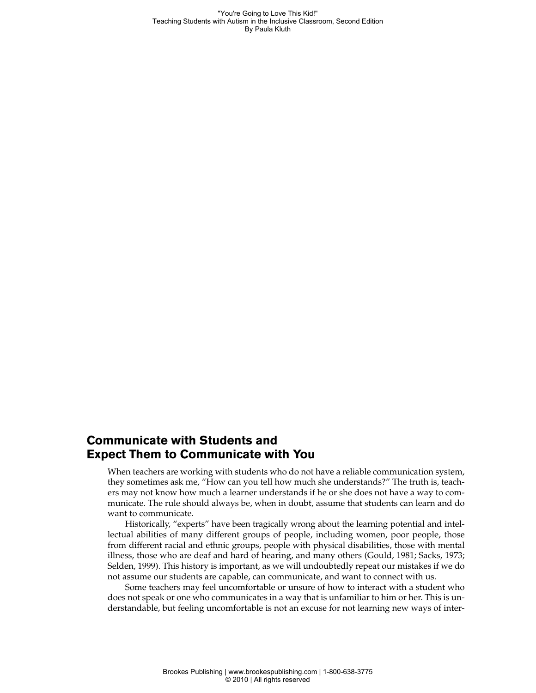### **Communicate with Students and Expect Them to Communicate with You**

When teachers are working with students who do not have a reliable communication system, they sometimes ask me, "How can you tell how much she understands?" The truth is, teachers may not know how much a learner understands if he or she does not have a way to communicate. The rule should always be, when in doubt, assume that students can learn and do want to communicate.

Historically, "experts" have been tragically wrong about the learning potential and intellectual abilities of many different groups of people, including women, poor people, those from different racial and ethnic groups, people with physical disabilities, those with mental illness, those who are deaf and hard of hearing, and many others (Gould, 1981; Sacks, 1973; Selden, 1999). This history is important, as we will undoubtedly repeat our mistakes if we do not assume our students are capable, can communicate, and want to connect with us.

Some teachers may feel uncomfortable or unsure of how to interact with a student who does not speak or one who communicates in a way that is unfamiliar to him or her. This is understandable, but feeling uncomfortable is not an excuse for not learning new ways of inter-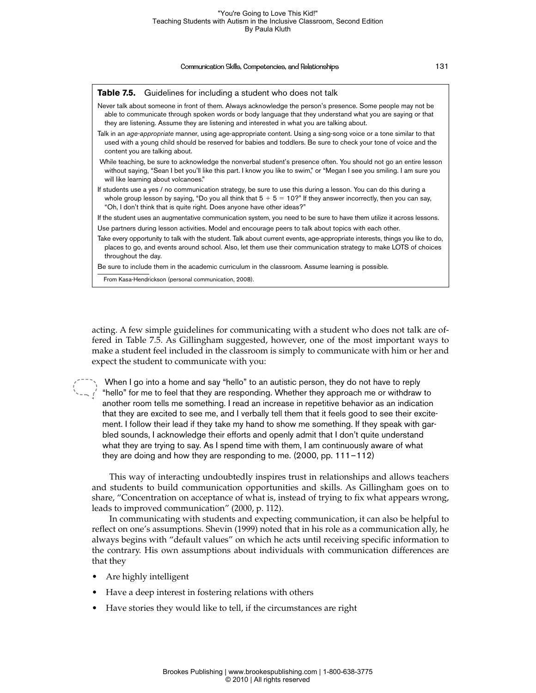#### Communication Skills, Competencies, and Relationships 131

| <b>Table 7.5.</b> Guidelines for including a student who does not talk                                                                                                                                                                                                                                                   |
|--------------------------------------------------------------------------------------------------------------------------------------------------------------------------------------------------------------------------------------------------------------------------------------------------------------------------|
| Never talk about someone in front of them. Always acknowledge the person's presence. Some people may not be<br>able to communicate through spoken words or body language that they understand what you are saying or that<br>they are listening. Assume they are listening and interested in what you are talking about. |
| Talk in an age-appropriate manner, using age-appropriate content. Using a sing-song voice or a tone similar to that<br>used with a young child should be reserved for babies and toddlers. Be sure to check your tone of voice and the<br>content you are talking about.                                                 |
| While teaching, be sure to acknowledge the nonverbal student's presence often. You should not go an entire lesson<br>without saying, "Sean I bet you'll like this part. I know you like to swim," or "Megan I see you smiling. I am sure you<br>will like learning about volcanoes."                                     |
| If students use a yes / no communication strategy, be sure to use this during a lesson. You can do this during a<br>whole group lesson by saying, "Do you all think that $5 + 5 = 10$ ?" If they answer incorrectly, then you can say,<br>"Oh, I don't think that is quite right. Does anyone have other ideas?"         |
| If the student uses an augmentative communication system, you need to be sure to have them utilize it across lessons.                                                                                                                                                                                                    |
| Use partners during lesson activities. Model and encourage peers to talk about topics with each other.                                                                                                                                                                                                                   |
| Take every opportunity to talk with the student. Talk about current events, age-appropriate interests, things you like to do,<br>places to go, and events around school. Also, let them use their communication strategy to make LOTS of choices                                                                         |

Be sure to include them in the academic curriculum in the classroom. Assume learning is possible.

From Kasa-Hendrickson (personal communication, 2008).

throughout the day.

acting. A few simple guidelines for communicating with a student who does not talk are offered in Table 7.5. As Gillingham suggested, however, one of the most important ways to make a student feel included in the classroom is simply to communicate with him or her and expect the student to communicate with you:

When I go into a home and say "hello" to an autistic person, they do not have to reply "hello" for me to feel that they are responding. Whether they approach me or withdraw to another room tells me something. I read an increase in repetitive behavior as an indication that they are excited to see me, and I verbally tell them that it feels good to see their excitement. I follow their lead if they take my hand to show me something. If they speak with garbled sounds, I acknowledge their efforts and openly admit that I don't quite understand what they are trying to say. As I spend time with them, I am continuously aware of what they are doing and how they are responding to me. (2000, pp. 111–112)

This way of interacting undoubtedly inspires trust in relationships and allows teachers and students to build communication opportunities and skills. As Gillingham goes on to share, "Concentration on acceptance of what is, instead of trying to fix what appears wrong, leads to improved communication" (2000, p. 112).

In communicating with students and expecting communication, it can also be helpful to reflect on one's assumptions. Shevin (1999) noted that in his role as a communication ally, he always begins with "default values" on which he acts until receiving specific information to the contrary. His own assumptions about individuals with communication differences are that they

- Are highly intelligent
- Have a deep interest in fostering relations with others
- Have stories they would like to tell, if the circumstances are right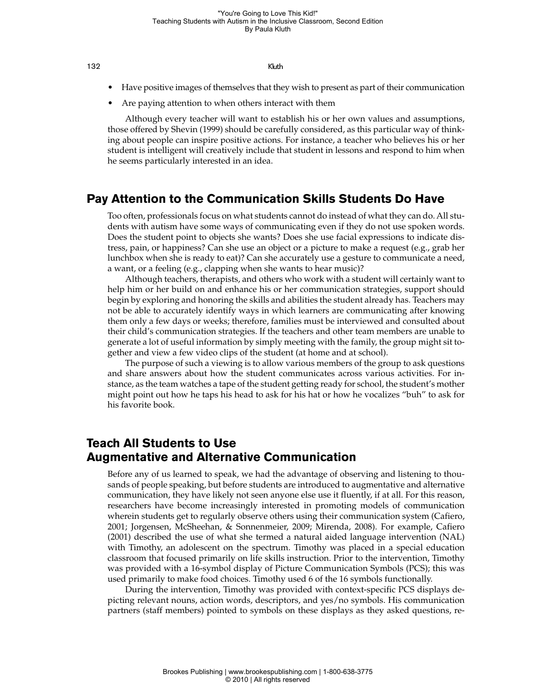### 132 Kluth

- Have positive images of themselves that they wish to present as part of their communication
- Are paying attention to when others interact with them

Although every teacher will want to establish his or her own values and assumptions, those offered by Shevin (1999) should be carefully considered, as this particular way of thinking about people can inspire positive actions. For instance, a teacher who believes his or her student is intelligent will creatively include that student in lessons and respond to him when he seems particularly interested in an idea.

### **Pay Attention to the Communication Skills Students Do Have**

Too often, professionals focus on what students cannot do instead of what they can do. All students with autism have some ways of communicating even if they do not use spoken words. Does the student point to objects she wants? Does she use facial expressions to indicate distress, pain, or happiness? Can she use an object or a picture to make a request (e.g., grab her lunchbox when she is ready to eat)? Can she accurately use a gesture to communicate a need, a want, or a feeling (e.g., clapping when she wants to hear music)?

Although teachers, therapists, and others who work with a student will certainly want to help him or her build on and enhance his or her communication strategies, support should begin by exploring and honoring the skills and abilities the student already has. Teachers may not be able to accurately identify ways in which learners are communicating after knowing them only a few days or weeks; therefore, families must be interviewed and consulted about their child's communication strategies. If the teachers and other team members are unable to generate a lot of useful information by simply meeting with the family, the group might sit together and view a few video clips of the student (at home and at school).

The purpose of such a viewing is to allow various members of the group to ask questions and share answers about how the student communicates across various activities. For instance, as the team watches a tape of the student getting ready for school, the student's mother might point out how he taps his head to ask for his hat or how he vocalizes "buh" to ask for his favorite book.

### **Teach All Students to Use Augmentative and Alternative Communication**

Before any of us learned to speak, we had the advantage of observing and listening to thousands of people speaking, but before students are introduced to augmentative and alternative communication, they have likely not seen anyone else use it fluently, if at all. For this reason, researchers have become increasingly interested in promoting models of communication wherein students get to regularly observe others using their communication system (Cafiero, 2001; Jorgensen, McSheehan, & Sonnenmeier, 2009; Mirenda, 2008). For example, Cafiero (2001) described the use of what she termed a natural aided language intervention (NAL) with Timothy, an adolescent on the spectrum. Timothy was placed in a special education classroom that focused primarily on life skills instruction. Prior to the intervention, Timothy was provided with a 16-symbol display of Picture Communication Symbols (PCS); this was used primarily to make food choices. Timothy used 6 of the 16 symbols functionally.

During the intervention, Timothy was provided with context-specific PCS displays depicting relevant nouns, action words, descriptors, and yes/no symbols. His communication partners (staff members) pointed to symbols on these displays as they asked questions, re-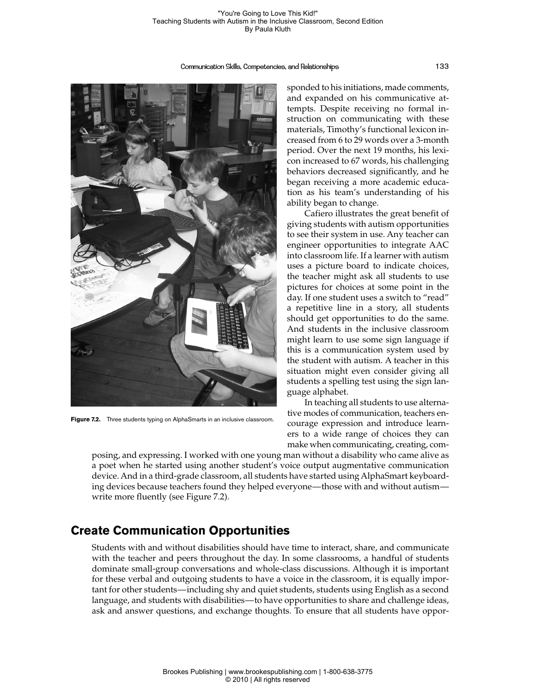Communication Skills, Competencies, and Relationships 133



Figure 7.2. Three students typing on AlphaSmarts in an inclusive classroom.

sponded to his initiations, made comments, and expanded on his communicative attempts. Despite receiving no formal instruction on communicating with these materials, Timothy's functional lexicon increased from 6 to 29 words over a 3-month period. Over the next 19 months, his lexicon increased to 67 words, his challenging behaviors decreased significantly, and he began receiving a more academic education as his team's understanding of his ability began to change.

Cafiero illustrates the great benefit of giving students with autism opportunities to see their system in use. Any teacher can engineer opportunities to integrate AAC into classroom life. If a learner with autism uses a picture board to indicate choices, the teacher might ask all students to use pictures for choices at some point in the day. If one student uses a switch to "read" a repetitive line in a story, all students should get opportunities to do the same. And students in the inclusive classroom might learn to use some sign language if this is a communication system used by the student with autism. A teacher in this situation might even consider giving all students a spelling test using the sign language alphabet.

In teaching all students to use alternative modes of communication, teachers encourage expression and introduce learners to a wide range of choices they can make when communicating, creating, com-

posing, and expressing. I worked with one young man without a disability who came alive as a poet when he started using another student's voice output augmentative communication device. And in a third-grade classroom, all students have started using AlphaSmart keyboarding devices because teachers found they helped everyone—those with and without autism write more fluently (see Figure 7.2).

### **Create Communication Opportunities**

Students with and without disabilities should have time to interact, share, and communicate with the teacher and peers throughout the day. In some classrooms, a handful of students dominate small-group conversations and whole-class discussions. Although it is important for these verbal and outgoing students to have a voice in the classroom, it is equally important for other students—including shy and quiet students, students using English as a second language, and students with disabilities—to have opportunities to share and challenge ideas, ask and answer questions, and exchange thoughts. To ensure that all students have oppor-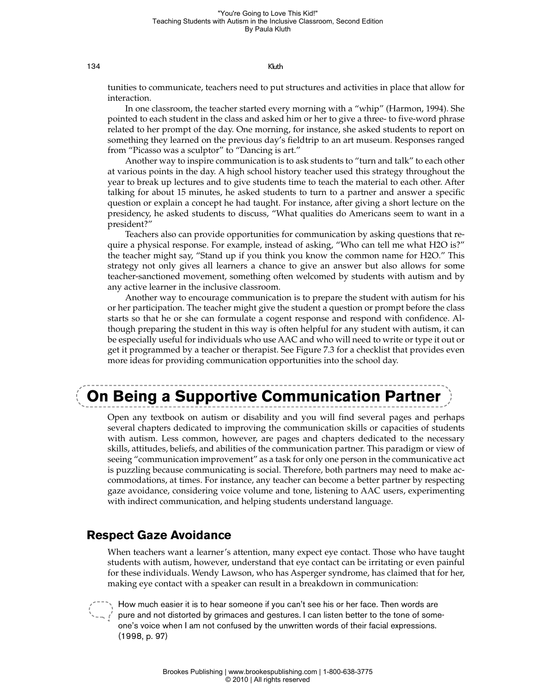### 134 Kluth

tunities to communicate, teachers need to put structures and activities in place that allow for interaction.

In one classroom, the teacher started every morning with a "whip" (Harmon, 1994). She pointed to each student in the class and asked him or her to give a three- to five-word phrase related to her prompt of the day. One morning, for instance, she asked students to report on something they learned on the previous day's fieldtrip to an art museum. Responses ranged from "Picasso was a sculptor" to "Dancing is art."

Another way to inspire communication is to ask students to "turn and talk" to each other at various points in the day. A high school history teacher used this strategy throughout the year to break up lectures and to give students time to teach the material to each other. After talking for about 15 minutes, he asked students to turn to a partner and answer a specific question or explain a concept he had taught. For instance, after giving a short lecture on the presidency, he asked students to discuss, "What qualities do Americans seem to want in a president?"

Teachers also can provide opportunities for communication by asking questions that require a physical response. For example, instead of asking, "Who can tell me what H2O is?" the teacher might say, "Stand up if you think you know the common name for H2O." This strategy not only gives all learners a chance to give an answer but also allows for some teacher-sanctioned movement, something often welcomed by students with autism and by any active learner in the inclusive classroom.

Another way to encourage communication is to prepare the student with autism for his or her participation. The teacher might give the student a question or prompt before the class starts so that he or she can formulate a cogent response and respond with confidence. Although preparing the student in this way is often helpful for any student with autism, it can be especially useful for individuals who use AAC and who will need to write or type it out or get it programmed by a teacher or therapist. See Figure 7.3 for a checklist that provides even more ideas for providing communication opportunities into the school day.

# **On Being a Supportive Communication Partner**

Open any textbook on autism or disability and you will find several pages and perhaps several chapters dedicated to improving the communication skills or capacities of students with autism. Less common, however, are pages and chapters dedicated to the necessary skills, attitudes, beliefs, and abilities of the communication partner. This paradigm or view of seeing "communication improvement" as a task for only one person in the communicative act is puzzling because communicating is social. Therefore, both partners may need to make accommodations, at times. For instance, any teacher can become a better partner by respecting gaze avoidance, considering voice volume and tone, listening to AAC users, experimenting with indirect communication, and helping students understand language.

### **Respect Gaze Avoidance**

When teachers want a learner's attention, many expect eye contact. Those who have taught students with autism, however, understand that eye contact can be irritating or even painful for these individuals. Wendy Lawson, who has Asperger syndrome, has claimed that for her, making eye contact with a speaker can result in a breakdown in communication:

How much easier it is to hear someone if you can't see his or her face. Then words are pure and not distorted by grimaces and gestures. I can listen better to the tone of someone's voice when I am not confused by the unwritten words of their facial expressions. (1998, p. 97)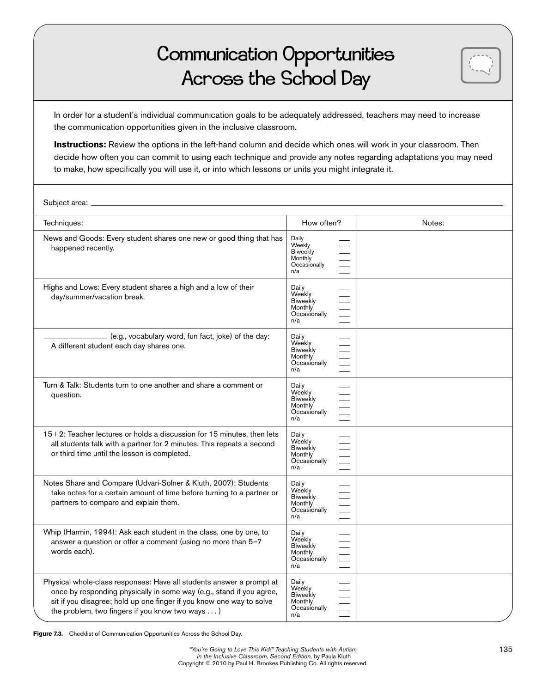# **135 Kluther Communication Opportunities** Across the School Day

In order for a student's individual communication goals to be adequately addressed, teachers may need to increase the communication opportunities given in the inclusive classroom.

**Instructions:** Review the options in the left-hand column and decide which ones will work in your classroom. Then decide how often you can commit to using each technique and provide any notes regarding adaptations you may need to make, how specifically you will use it, or into which lessons or units you might integrate it.

| Subject area: _                                                                                                                                                                                                                                                         |                                                                                     |        |  |
|-------------------------------------------------------------------------------------------------------------------------------------------------------------------------------------------------------------------------------------------------------------------------|-------------------------------------------------------------------------------------|--------|--|
| Techniques:                                                                                                                                                                                                                                                             | How often?                                                                          | Notes: |  |
| News and Goods: Every student shares one new or good thing that has<br>happened recently.                                                                                                                                                                               | Daily<br>Weekly<br><b>Biweekly</b><br>Monthly<br>Occasionally<br>n/a                |        |  |
| Highs and Lows: Every student shares a high and a low of their<br>day/summer/vacation break.                                                                                                                                                                            | Daily<br>Weekly<br><b>Biweekly</b><br><b>Monthly</b><br>Occasionally<br>n/a         |        |  |
| (e.g., vocabulary word, fun fact, joke) of the day:<br>A different student each day shares one.                                                                                                                                                                         | Daily<br>Weekly<br>Biweekly<br><b>Monthly</b><br>Occasionally<br>n/a                |        |  |
| Turn & Talk: Students turn to one another and share a comment or<br>question.                                                                                                                                                                                           | Daily<br>Weekly<br><b>Biweekly</b><br><b>Monthly</b><br>Occasionally<br>n/a         |        |  |
| 15+2: Teacher lectures or holds a discussion for 15 minutes, then lets<br>all students talk with a partner for 2 minutes. This repeats a second<br>or third time until the lesson is completed.                                                                         | Daily<br>Weekly<br><b>Biweekly</b><br>Monthly<br>Occasionally<br>n/a                |        |  |
| Notes Share and Compare (Udvari-Solner & Kluth, 2007): Students<br>take notes for a certain amount of time before turning to a partner or<br>partners to compare and explain them.                                                                                      | Daily<br>Weekly<br><b>Biweekly</b><br>Monthly<br>Occasionally<br>n/a                |        |  |
| Whip (Harmin, 1994): Ask each student in the class, one by one, to<br>answer a question or offer a comment (using no more than 5-7<br>words each).                                                                                                                      | Daily<br>Weekly<br><b>Biweekly</b><br>Monthly<br>Occasionally<br>n/a                |        |  |
| Physical whole-class responses: Have all students answer a prompt at<br>once by responding physically in some way (e.g., stand if you agree,<br>sit if you disagree; hold up one finger if you know one way to solve<br>the problem, two fingers if you know two ways ) | Daily<br>=<br>=<br>=<br>Weekly<br>Biweekly<br><b>Monthly</b><br>Occasionally<br>n/a |        |  |

Figure 7.3. Checklist of Communication Opportunities Across the School Day.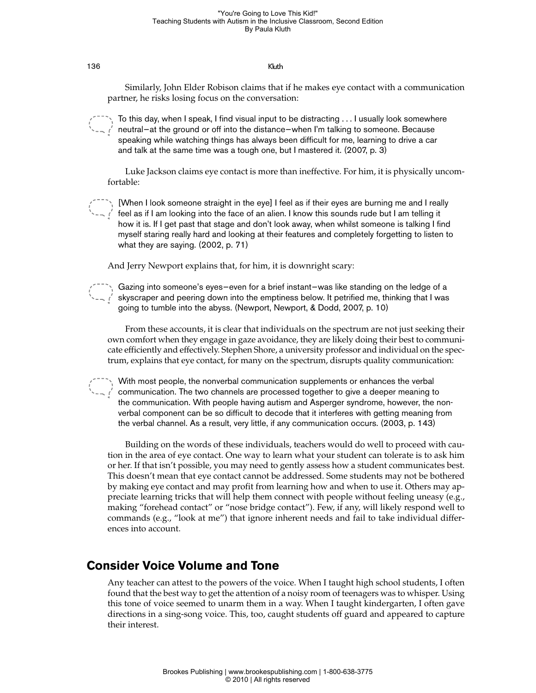136 Kluth

Similarly, John Elder Robison claims that if he makes eye contact with a communication partner, he risks losing focus on the conversation:

 $\cdot$  To this day, when I speak, I find visual input to be distracting  $\ldots$  I usually look somewhere  $\lambda$  neutral—at the ground or off into the distance—when I'm talking to someone. Because speaking while watching things has always been difficult for me, learning to drive a car and talk at the same time was a tough one, but I mastered it. (2007, p. 3)

Luke Jackson claims eye contact is more than ineffective. For him, it is physically uncomfortable:

[When I look someone straight in the eye] I feel as if their eyes are burning me and I really  $\frac{1}{2}$  feel as if I am looking into the face of an alien. I know this sounds rude but I am telling it how it is. If I get past that stage and don't look away, when whilst someone is talking I find myself staring really hard and looking at their features and completely forgetting to listen to what they are saying. (2002, p. 71)

And Jerry Newport explains that, for him, it is downright scary:

 $\backslash$  Gazing into someone's eyes—even for a brief instant—was like standing on the ledge of a  $\frac{1}{2}$  skyscraper and peering down into the emptiness below. It petrified me, thinking that I was going to tumble into the abyss. (Newport, Newport, & Dodd, 2007, p. 10)

From these accounts, it is clear that individuals on the spectrum are not just seeking their own comfort when they engage in gaze avoidance, they are likely doing their best to communicate efficiently and effectively. Stephen Shore, a university professor and individual on the spectrum, explains that eye contact, for many on the spectrum, disrupts quality communication:

With most people, the nonverbal communication supplements or enhances the verbal  $\left(\begin{array}{cc} 0 & \text{at } 0 \end{array}\right)$  communication. The two channels are processed together to give a deeper meaning to the communication. With people having autism and Asperger syndrome, however, the nonverbal component can be so difficult to decode that it interferes with getting meaning from the verbal channel. As a result, very little, if any communication occurs. (2003, p. 143)

Building on the words of these individuals, teachers would do well to proceed with caution in the area of eye contact. One way to learn what your student can tolerate is to ask him or her. If that isn't possible, you may need to gently assess how a student communicates best. This doesn't mean that eye contact cannot be addressed. Some students may not be bothered by making eye contact and may profit from learning how and when to use it. Others may appreciate learning tricks that will help them connect with people without feeling uneasy (e.g., making "forehead contact" or "nose bridge contact"). Few, if any, will likely respond well to commands (e.g., "look at me") that ignore inherent needs and fail to take individual differences into account.

### **Consider Voice Volume and Tone**

Any teacher can attest to the powers of the voice. When I taught high school students, I often found that the best way to get the attention of a noisy room of teenagers was to whisper. Using this tone of voice seemed to unarm them in a way. When I taught kindergarten, I often gave directions in a sing-song voice. This, too, caught students off guard and appeared to capture their interest.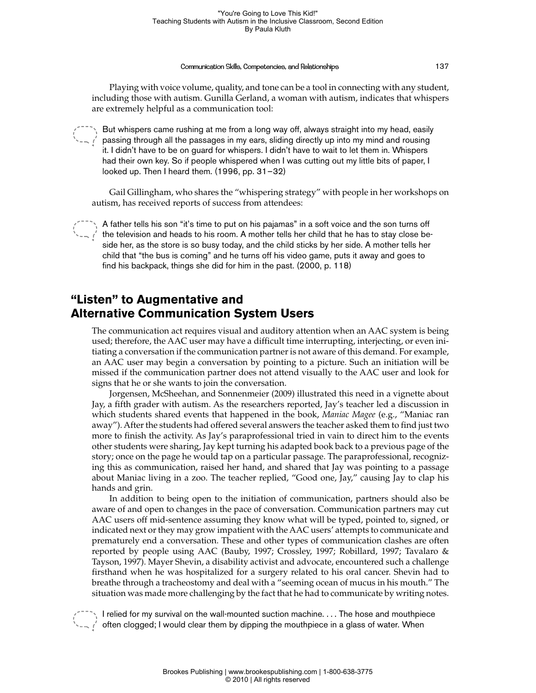#### Communication Skills, Competencies, and Relationships 137

Playing with voice volume, quality, and tone can be a tool in connecting with any student, including those with autism. Gunilla Gerland, a woman with autism, indicates that whispers are extremely helpful as a communication tool:

But whispers came rushing at me from a long way off, always straight into my head, easily passing through all the passages in my ears, sliding directly up into my mind and rousing it. I didn't have to be on guard for whispers. I didn't have to wait to let them in. Whispers had their own key. So if people whispered when I was cutting out my little bits of paper, I looked up. Then I heard them. (1996, pp. 31–32)

Gail Gillingham, who shares the "whispering strategy" with people in her workshops on autism, has received reports of success from attendees:

A father tells his son "it's time to put on his pajamas" in a soft voice and the son turns off  $t$  the television and heads to his room. A mother tells her child that he has to stay close beside her, as the store is so busy today, and the child sticks by her side. A mother tells her child that "the bus is coming" and he turns off his video game, puts it away and goes to find his backpack, things she did for him in the past. (2000, p. 118)

### **"Listen" to Augmentative and Alternative Communication System Users**

The communication act requires visual and auditory attention when an AAC system is being used; therefore, the AAC user may have a difficult time interrupting, interjecting, or even initiating a conversation if the communication partner is not aware of this demand. For example, an AAC user may begin a conversation by pointing to a picture. Such an initiation will be missed if the communication partner does not attend visually to the AAC user and look for signs that he or she wants to join the conversation.

Jorgensen, McSheehan, and Sonnenmeier (2009) illustrated this need in a vignette about Jay, a fifth grader with autism. As the researchers reported, Jay's teacher led a discussion in which students shared events that happened in the book, *Maniac Magee* (e.g., "Maniac ran away"). After the students had offered several answers the teacher asked them to find just two more to finish the activity. As Jay's paraprofessional tried in vain to direct him to the events other students were sharing, Jay kept turning his adapted book back to a previous page of the story; once on the page he would tap on a particular passage. The paraprofessional, recognizing this as communication, raised her hand, and shared that Jay was pointing to a passage about Maniac living in a zoo. The teacher replied, "Good one, Jay," causing Jay to clap his hands and grin.

In addition to being open to the initiation of communication, partners should also be aware of and open to changes in the pace of conversation. Communication partners may cut AAC users off mid-sentence assuming they know what will be typed, pointed to, signed, or indicated next or they may grow impatient with the AAC users' attempts to communicate and prematurely end a conversation. These and other types of communication clashes are often reported by people using AAC (Bauby, 1997; Crossley, 1997; Robillard, 1997; Tavalaro & Tayson, 1997). Mayer Shevin, a disability activist and advocate, encountered such a challenge firsthand when he was hospitalized for a surgery related to his oral cancer. Shevin had to breathe through a tracheostomy and deal with a "seeming ocean of mucus in his mouth." The situation was made more challenging by the fact that he had to communicate by writing notes.

I relied for my survival on the wall-mounted suction machine.  $\dots$  The hose and mouthpiece  $\sim$   $\frac{1}{2}^{\prime}$  often clogged; I would clear them by dipping the mouthpiece in a glass of water. When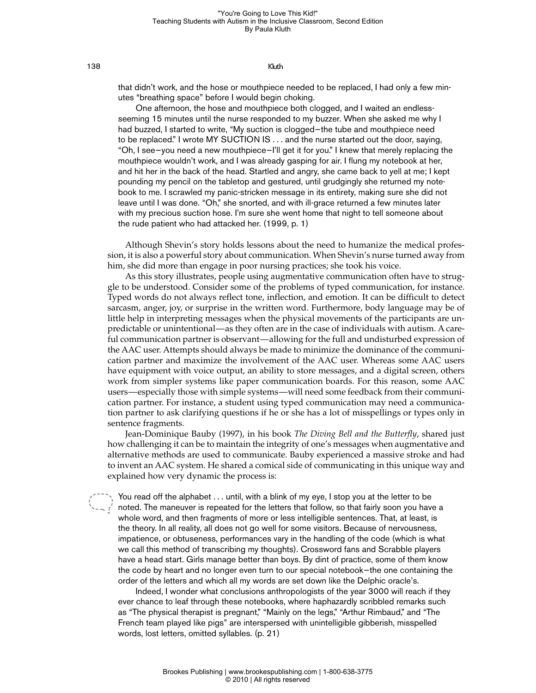#### 138 Kluth

that didn't work, and the hose or mouthpiece needed to be replaced, I had only a few minutes "breathing space" before I would begin choking.

One afternoon, the hose and mouthpiece both clogged, and I waited an endlessseeming 15 minutes until the nurse responded to my buzzer. When she asked me why I had buzzed, I started to write, "My suction is clogged-the tube and mouthpiece need to be replaced." I wrote MY SUCTION IS . . . and the nurse started out the door, saying, "Oh, I see—you need a new mouthpiece—I'll get it for you." I knew that merely replacing the mouthpiece wouldn't work, and I was already gasping for air. I flung my notebook at her, and hit her in the back of the head. Startled and angry, she came back to yell at me; I kept pounding my pencil on the tabletop and gestured, until grudgingly she returned my notebook to me. I scrawled my panic-stricken message in its entirety, making sure she did not leave until I was done. "Oh," she snorted, and with ill-grace returned a few minutes later with my precious suction hose. I'm sure she went home that night to tell someone about the rude patient who had attacked her. (1999, p. 1)

Although Shevin's story holds lessons about the need to humanize the medical profession, it is also a powerful story about communication. When Shevin's nurse turned away from him, she did more than engage in poor nursing practices; she took his voice.

As this story illustrates, people using augmentative communication often have to struggle to be understood. Consider some of the problems of typed communication, for instance. Typed words do not always reflect tone, inflection, and emotion. It can be difficult to detect sarcasm, anger, joy, or surprise in the written word. Furthermore, body language may be of little help in interpreting messages when the physical movements of the participants are unpredictable or unintentional—as they often are in the case of individuals with autism. A careful communication partner is observant—allowing for the full and undisturbed expression of the AAC user. Attempts should always be made to minimize the dominance of the communication partner and maximize the involvement of the AAC user. Whereas some AAC users have equipment with voice output, an ability to store messages, and a digital screen, others work from simpler systems like paper communication boards. For this reason, some AAC users—especially those with simple systems—will need some feedback from their communication partner. For instance, a student using typed communication may need a communication partner to ask clarifying questions if he or she has a lot of misspellings or types only in sentence fragments.

Jean-Dominique Bauby (1997), in his book *The Diving Bell and the Butterfly*, shared just how challenging it can be to maintain the integrity of one's messages when augmentative and alternative methods are used to communicate. Bauby experienced a massive stroke and had to invent an AAC system. He shared a comical side of communicating in this unique way and explained how very dynamic the process is:

You read off the alphabet . . . until, with a blink of my eye, I stop you at the letter to be noted. The maneuver is repeated for the letters that follow, so that fairly soon you have a whole word, and then fragments of more or less intelligible sentences. That, at least, is the theory. In all reality, all does not go well for some visitors. Because of nervousness, impatience, or obtuseness, performances vary in the handling of the code (which is what we call this method of transcribing my thoughts). Crossword fans and Scrabble players have a head start. Girls manage better than boys. By dint of practice, some of them know the code by heart and no longer even turn to our special notebook—the one containing the order of the letters and which all my words are set down like the Delphic oracle's.

Indeed, I wonder what conclusions anthropologists of the year 3000 will reach if they ever chance to leaf through these notebooks, where haphazardly scribbled remarks such as "The physical therapist is pregnant," "Mainly on the legs," "Arthur Rimbaud," and "The French team played like pigs" are interspersed with unintelligible gibberish, misspelled words, lost letters, omitted syllables. (p. 21)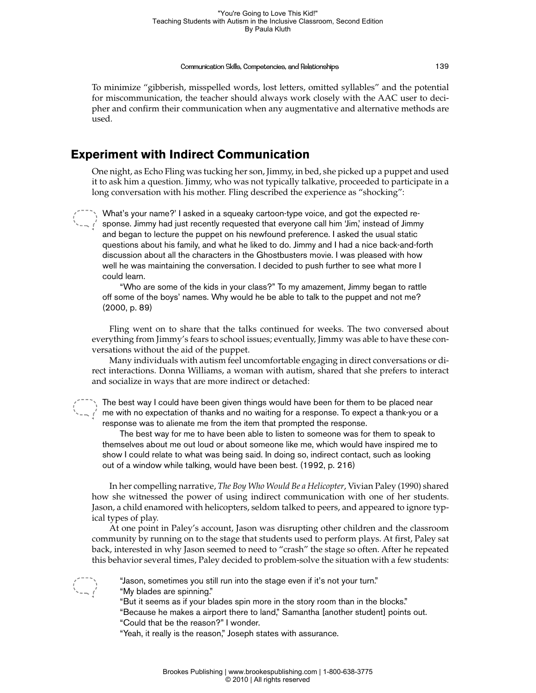Communication Skills, Competencies, and Relationships 139

To minimize "gibberish, misspelled words, lost letters, omitted syllables" and the potential for miscommunication, the teacher should always work closely with the AAC user to decipher and confirm their communication when any augmentative and alternative methods are used.

### **Experiment with Indirect Communication**

One night, as Echo Fling was tucking her son, Jimmy, in bed, she picked up a puppet and used it to ask him a question. Jimmy, who was not typically talkative, proceeded to participate in a long conversation with his mother. Fling described the experience as "shocking":

What's your name?' I asked in a squeaky cartoon-type voice, and got the expected re- $\sim$   $\sim$   $\epsilon'$  sponse. Jimmy had just recently requested that everyone call him 'Jim,' instead of Jimmy and began to lecture the puppet on his newfound preference. I asked the usual static questions about his family, and what he liked to do. Jimmy and I had a nice back-and-forth discussion about all the characters in the Ghostbusters movie. I was pleased with how well he was maintaining the conversation. I decided to push further to see what more I could learn.

"Who are some of the kids in your class?" To my amazement, Jimmy began to rattle off some of the boys' names. Why would he be able to talk to the puppet and not me? (2000, p. 89)

Fling went on to share that the talks continued for weeks. The two conversed about everything from Jimmy's fears to school issues; eventually, Jimmy was able to have these conversations without the aid of the puppet.

Many individuals with autism feel uncomfortable engaging in direct conversations or direct interactions. Donna Williams, a woman with autism, shared that she prefers to interact and socialize in ways that are more indirect or detached:

The best way I could have been given things would have been for them to be placed near me with no expectation of thanks and no waiting for a response. To expect a thank-you or a response was to alienate me from the item that prompted the response.

The best way for me to have been able to listen to someone was for them to speak to themselves about me out loud or about someone like me, which would have inspired me to show I could relate to what was being said. In doing so, indirect contact, such as looking out of a window while talking, would have been best. (1992, p. 216)

In her compelling narrative, *The Boy Who Would Be a Helicopter*, Vivian Paley (1990) shared how she witnessed the power of using indirect communication with one of her students. Jason, a child enamored with helicopters, seldom talked to peers, and appeared to ignore typical types of play.

At one point in Paley's account, Jason was disrupting other children and the classroom community by running on to the stage that students used to perform plays. At first, Paley sat back, interested in why Jason seemed to need to "crash" the stage so often. After he repeated this behavior several times, Paley decided to problem-solve the situation with a few students:

 $\begin{pmatrix} 1 \\ -1 \end{pmatrix}$ 

"Jason, sometimes you still run into the stage even if it's not your turn."

"My blades are spinning."

"But it seems as if your blades spin more in the story room than in the blocks." "Because he makes a airport there to land," Samantha [another student] points out. "Could that be the reason?" I wonder.

"Yeah, it really is the reason," Joseph states with assurance.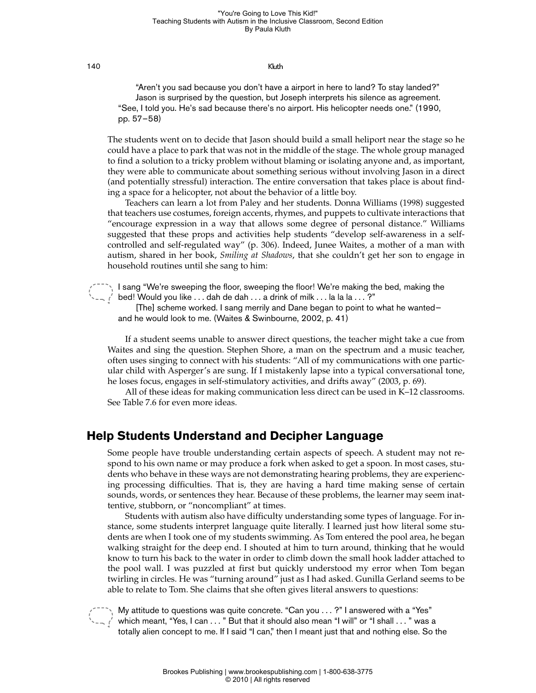### 140 Kluth

"Aren't you sad because you don't have a airport in here to land? To stay landed?" Jason is surprised by the question, but Joseph interprets his silence as agreement. "See, I told you. He's sad because there's no airport. His helicopter needs one." (1990, pp. 57–58)

The students went on to decide that Jason should build a small heliport near the stage so he could have a place to park that was not in the middle of the stage. The whole group managed to find a solution to a tricky problem without blaming or isolating anyone and, as important, they were able to communicate about something serious without involving Jason in a direct (and potentially stressful) interaction. The entire conversation that takes place is about finding a space for a helicopter, not about the behavior of a little boy.

Teachers can learn a lot from Paley and her students. Donna Williams (1998) suggested that teachers use costumes, foreign accents, rhymes, and puppets to cultivate interactions that "encourage expression in a way that allows some degree of personal distance." Williams suggested that these props and activities help students "develop self-awareness in a selfcontrolled and self-regulated way" (p. 306). Indeed, Junee Waites, a mother of a man with autism, shared in her book, *Smiling at Shadows*, that she couldn't get her son to engage in household routines until she sang to him:

I sang "We're sweeping the floor, sweeping the floor! We're making the bed, making the bed! Would you like . . . dah de dah . . . a drink of milk . . . la la la . . . ?"

[The] scheme worked. I sang merrily and Dane began to point to what he wanted and he would look to me. (Waites & Swinbourne, 2002, p. 41)

If a student seems unable to answer direct questions, the teacher might take a cue from Waites and sing the question. Stephen Shore, a man on the spectrum and a music teacher, often uses singing to connect with his students: "All of my communications with one particular child with Asperger's are sung. If I mistakenly lapse into a typical conversational tone, he loses focus, engages in self-stimulatory activities, and drifts away" (2003, p. 69).

All of these ideas for making communication less direct can be used in K–12 classrooms. See Table 7.6 for even more ideas.

### **Help Students Understand and Decipher Language**

Some people have trouble understanding certain aspects of speech. A student may not respond to his own name or may produce a fork when asked to get a spoon. In most cases, students who behave in these ways are not demonstrating hearing problems, they are experiencing processing difficulties. That is, they are having a hard time making sense of certain sounds, words, or sentences they hear. Because of these problems, the learner may seem inattentive, stubborn, or "noncompliant" at times.

Students with autism also have difficulty understanding some types of language. For instance, some students interpret language quite literally. I learned just how literal some students are when I took one of my students swimming. As Tom entered the pool area, he began walking straight for the deep end. I shouted at him to turn around, thinking that he would know to turn his back to the water in order to climb down the small hook ladder attached to the pool wall. I was puzzled at first but quickly understood my error when Tom began twirling in circles. He was "turning around" just as I had asked. Gunilla Gerland seems to be able to relate to Tom. She claims that she often gives literal answers to questions:

My attitude to questions was quite concrete. "Can you . . . ?" I answered with a "Yes" which meant, "Yes, I can . . . " But that it should also mean "I will" or "I shall . . . " was a totally alien concept to me. If I said "I can," then I meant just that and nothing else. So the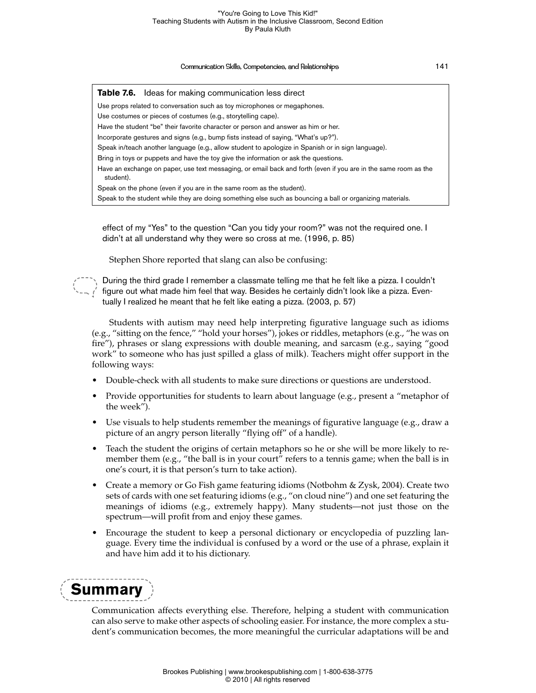### Communication Skills, Competencies, and Relationships 141

**Table 7.6.** Ideas for making communication less direct

Use props related to conversation such as toy microphones or megaphones.

Use costumes or pieces of costumes (e.g., storytelling cape).

Have the student "be" their favorite character or person and answer as him or her.

Incorporate gestures and signs (e.g., bump fists instead of saying, "What's up?").

Speak in/teach another language (e.g., allow student to apologize in Spanish or in sign language).

Bring in toys or puppets and have the toy give the information or ask the questions.

Have an exchange on paper, use text messaging, or email back and forth (even if you are in the same room as the student).

Speak on the phone (even if you are in the same room as the student).

Speak to the student while they are doing something else such as bouncing a ball or organizing materials.

effect of my "Yes" to the question "Can you tidy your room?" was not the required one. I didn't at all understand why they were so cross at me. (1996, p. 85)

Stephen Shore reported that slang can also be confusing:

During the third grade I remember a classmate telling me that he felt like a pizza. I couldn't figure out what made him feel that way. Besides he certainly didn't look like a pizza. Eventually I realized he meant that he felt like eating a pizza. (2003, p. 57)

Students with autism may need help interpreting figurative language such as idioms (e.g., "sitting on the fence," "hold your horses"), jokes or riddles, metaphors (e.g., "he was on fire"), phrases or slang expressions with double meaning, and sarcasm (e.g., saying "good work" to someone who has just spilled a glass of milk). Teachers might offer support in the following ways:

- Double-check with all students to make sure directions or questions are understood.
- Provide opportunities for students to learn about language (e.g., present a "metaphor of the week").
- Use visuals to help students remember the meanings of figurative language (e.g., draw a picture of an angry person literally "flying off" of a handle).
- Teach the student the origins of certain metaphors so he or she will be more likely to remember them (e.g., "the ball is in your court" refers to a tennis game; when the ball is in one's court, it is that person's turn to take action).
- Create a memory or Go Fish game featuring idioms (Notbohm & Zysk, 2004). Create two sets of cards with one set featuring idioms (e.g., "on cloud nine") and one set featuring the meanings of idioms (e.g., extremely happy). Many students—not just those on the spectrum—will profit from and enjoy these games.
- Encourage the student to keep a personal dictionary or encyclopedia of puzzling language. Every time the individual is confused by a word or the use of a phrase, explain it and have him add it to his dictionary.



Communication affects everything else. Therefore, helping a student with communication can also serve to make other aspects of schooling easier. For instance, the more complex a student's communication becomes, the more meaningful the curricular adaptations will be and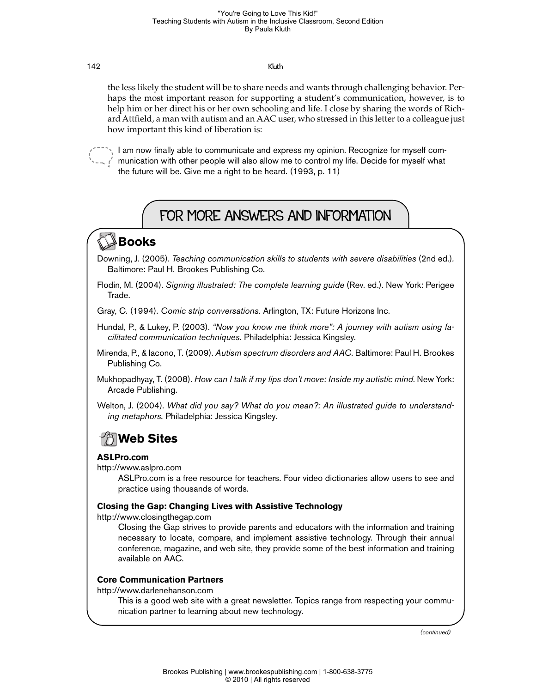### 142 Kluth

the less likely the student will be to share needs and wants through challenging behavior. Perhaps the most important reason for supporting a student's communication, however, is to help him or her direct his or her own schooling and life. I close by sharing the words of Richard Attfield, a man with autism and an AAC user, who stressed in this letter to a colleague just how important this kind of liberation is:

I am now finally able to communicate and express my opinion. Recognize for myself communication with other people will also allow me to control my life. Decide for myself what the future will be. Give me a right to be heard. (1993, p. 11)

# FOR MORE ANSWERS AND INFORMATION

## **Books**

Downing, J. (2005). *Teaching communication skills to students with severe disabilities* (2nd ed.)*.* Baltimore: Paul H. Brookes Publishing Co.

Flodin, M. (2004). *Signing illustrated: The complete learning guide* (Rev. ed.). New York: Perigee Trade.

Gray, C. (1994). *Comic strip conversations.* Arlington, TX: Future Horizons Inc.

- Hundal, P., & Lukey, P. (2003). *"Now you know me think more": A journey with autism using facilitated communication techniques*. Philadelphia: Jessica Kingsley.
- Mirenda, P., & Iacono, T. (2009). *Autism spectrum disorders and AAC*. Baltimore: Paul H. Brookes Publishing Co.
- Mukhopadhyay, T. (2008). *How can I talk if my lips don't move: Inside my autistic mind*. New York: Arcade Publishing.
- Welton, J. (2004). *What did you say? What do you mean?: An illustrated guide to understanding metaphors.* Philadelphia: Jessica Kingsley.

### **Web Sites**

### **ASLPro.com**

http://www.aslpro.com

ASLPro.com is a free resource for teachers. Four video dictionaries allow users to see and practice using thousands of words.

### **Closing the Gap: Changing Lives with Assistive Technology**

http://www.closingthegap.com

Closing the Gap strives to provide parents and educators with the information and training necessary to locate, compare, and implement assistive technology. Through their annual conference, magazine, and web site, they provide some of the best information and training available on AAC.

### **Core Communication Partners**

http://www.darlenehanson.com

This is a good web site with a great newsletter. Topics range from respecting your communication partner to learning about new technology.

*(continued)*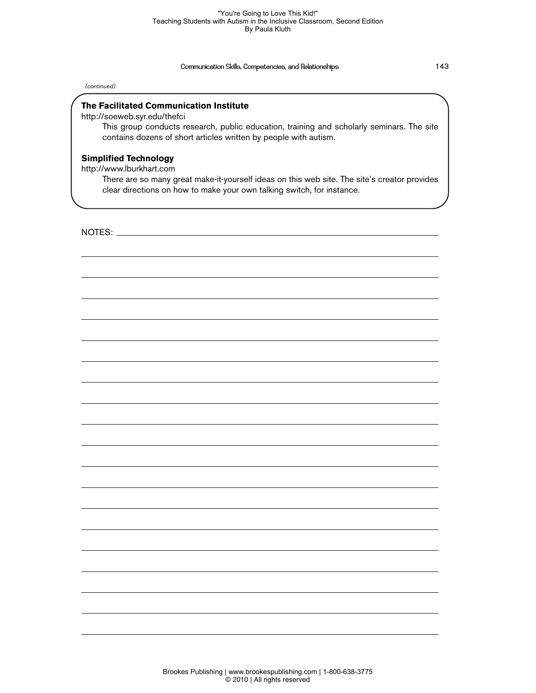### Communication Skills, Competencies, and Relationships 143

*(continued)*

### **The Facilitated Communication Institute**

http://soeweb.syr.edu/thefci

This group conducts research, public education, training and scholarly seminars. The site contains dozens of short articles written by people with autism.

### **Simplified Technology**

http://www.lburkhart.com

There are so many great make-it-yourself ideas on this web site. The site's creator provides clear directions on how to make your own talking switch, for instance.

NOTES: